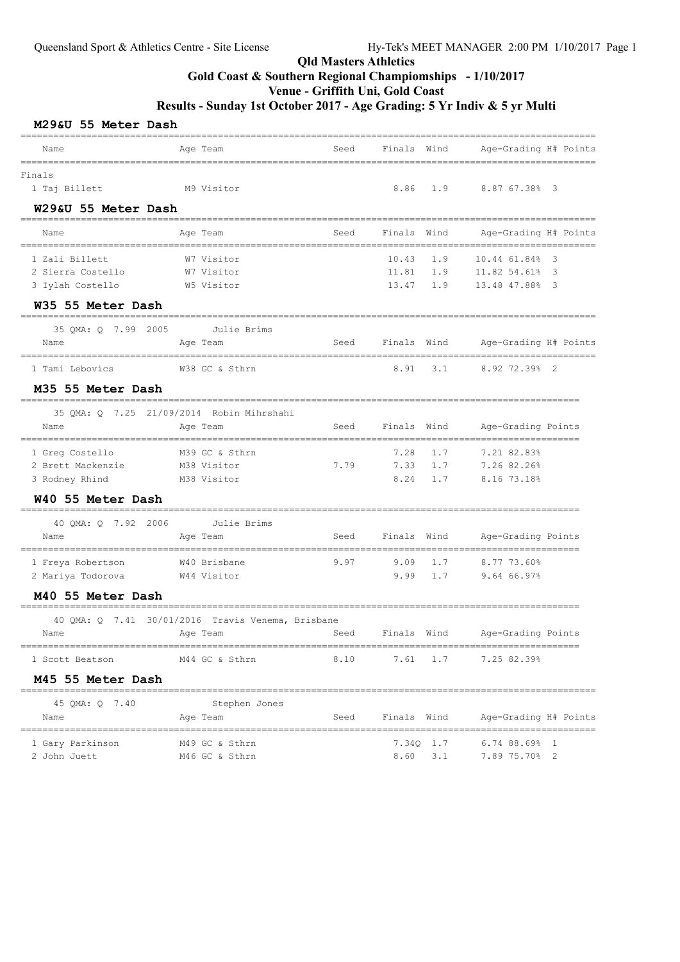#### Qld Masters Athletics Gold Coast & Southern Regional Champiomships - 1/10/2017 Venue - Griffith Uni, Gold Coast

| M29&U 55 Meter Dash |  |  |  |
|---------------------|--|--|--|
|---------------------|--|--|--|

| Name                                            | Age Team                                          | Seed | Finals Wind |              | Age-Grading H# Points |
|-------------------------------------------------|---------------------------------------------------|------|-------------|--------------|-----------------------|
| Finals                                          |                                                   |      |             |              |                       |
| 1 Taj Billett                                   | M9 Visitor                                        |      | 8.86        | 1.9          | 8.87 67.38% 3         |
| W29&U 55 Meter Dash                             |                                                   |      |             |              |                       |
| Name                                            | Age Team                                          | Seed | Finals Wind |              | Age-Grading H# Points |
| 1 Zali Billett                                  | W7 Visitor                                        |      | 10.43       | 1.9          | 10.44 61.84%<br>-3    |
| 2 Sierra Costello                               | W7 Visitor                                        |      | 11.81       | 1.9          | 11.82 54.61%<br>3     |
| 3 Iylah Costello                                | W5 Visitor                                        |      | 13.47       | 1.9          | 13.48 47.88% 3        |
| W35 55 Meter Dash                               |                                                   |      |             |              |                       |
| 35 OMA: 0 7.99 2005                             | Julie Brims                                       |      |             |              |                       |
| Name                                            | Age Team                                          | Seed | Finals Wind |              | Age-Grading H# Points |
| 1 Tami Lebovics                                 | W38 GC & Sthrn                                    |      | 8.91        | 3.1          | 8.92 72.39% 2         |
| M35 55 Meter Dash                               |                                                   |      |             |              |                       |
|                                                 | 35 QMA: Q 7.25 21/09/2014 Robin Mihrshahi         |      |             |              |                       |
| Name                                            | Age Team                                          | Seed | Finals Wind |              | Age-Grading Points    |
| --------------<br>1 Greg Costello               | M39 GC & Sthrn                                    |      | 7.28        | 1.7          | 7.21 82.83%           |
| 2 Brett Mackenzie                               | M38 Visitor                                       | 7.79 | 7.33        | 1.7          | 7.26 82.26%           |
| 3 Rodney Rhind                                  | M38 Visitor                                       |      | 8.24        | 1.7          | 8.16 73.18%           |
| W40 55 Meter Dash                               | ===================                               |      |             |              |                       |
| 40 OMA: 0 7.92 2006                             | Julie Brims                                       |      |             |              |                       |
| Name                                            | Age Team                                          | Seed | Finals Wind |              | Age-Grading Points    |
| --------------------------<br>1 Freya Robertson | W40 Brisbane                                      | 9.97 | 9.09        | 1.7          | 8.77 73.60%           |
| 2 Mariya Todorova                               | W44 Visitor                                       |      | 9.99        | 1.7          | 9.64 66.97%           |
| M40 55 Meter Dash                               |                                                   |      |             |              |                       |
|                                                 | 40 QMA: Q 7.41 30/01/2016 Travis Venema, Brisbane |      |             |              |                       |
| Name                                            | Age Team                                          | Seed | Finals Wind |              | Age-Grading Points    |
| 1 Scott Beatson                                 | M44 GC & Sthrn                                    | 8.10 |             | $7.61 \t1.7$ | 7.25 82.39%           |
| M45 55 Meter Dash                               |                                                   |      |             |              |                       |
| 45 QMA: Q 7.40                                  | Stephen Jones                                     |      |             |              |                       |
| Name                                            | Age Team                                          | Seed | Finals Wind |              | Age-Grading H# Points |
| 1 Gary Parkinson                                | M49 GC & Sthrn                                    |      |             | $7.34Q$ 1.7  | $6.74$ 88.69% 1       |
| 2 John Juett                                    | M46 GC & Sthrn                                    |      | 8.60        | 3.1          | 7.89 75.70% 2         |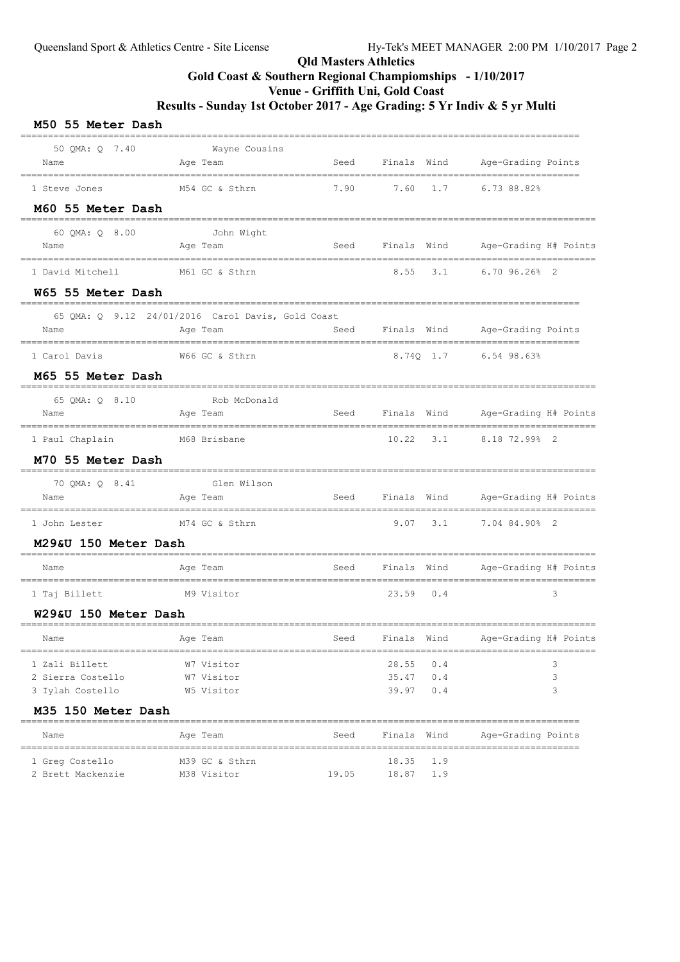### Qld Masters Athletics Gold Coast & Southern Regional Champiomships - 1/10/2017 Venue - Griffith Uni, Gold Coast Results - Sunday 1st October 2017 - Age Grading: 5 Yr Indiv & 5 yr Multi

| M50 55 Meter Dash      |                                                       |       |                                    |                                        |
|------------------------|-------------------------------------------------------|-------|------------------------------------|----------------------------------------|
| 50 QMA: Q 7.40<br>Name | Wayne Cousins<br>Age Team<br>------------------------ |       |                                    | Seed Finals Wind Age-Grading Points    |
| 1 Steve Jones          | M54 GC & Sthrn                                        |       | $7.90$ $7.60$ $1.7$ $6.73$ $88.82$ |                                        |
| M60 55 Meter Dash      |                                                       |       |                                    |                                        |
| 60 OMA: 0 8.00<br>Name | John Wight<br>Aqe Team                                |       |                                    | Seed Finals Wind Age-Grading H# Points |
| 1 David Mitchell       | M61 GC & Sthrn                                        |       |                                    | 8.55 3.1 6.70 96.26% 2                 |
| W65 55 Meter Dash      |                                                       |       |                                    |                                        |
|                        | 65 QMA: Q 9.12 24/01/2016 Carol Davis, Gold Coast     |       |                                    |                                        |
| Name                   | Age Team                                              |       |                                    | Seed Finals Wind Age-Grading Points    |
| 1 Carol Davis          | W66 GC & Sthrn                                        |       | 8.740 1.7                          | $6.54$ 98.63%                          |
| M65 55 Meter Dash      |                                                       |       |                                    |                                        |
| 65 QMA: Q 8.10<br>Name | Rob McDonald<br>Age Team                              | Seed  | Finals Wind                        | Age-Grading H# Points                  |
| 1 Paul Chaplain        | M68 Brisbane                                          |       | $10.22$ $3.1$                      | 8.18 72.99% 2                          |
| M70 55 Meter Dash      |                                                       |       |                                    |                                        |
| 70 QMA: Q 8.41<br>Name | Glen Wilson<br>Age Team                               |       | Seed Finals Wind                   | Age-Grading H# Points                  |
| 1 John Lester          | M74 GC & Sthrn                                        |       | $9.07$ $3.1$                       | ---------------------<br>7.04 84.90% 2 |
| M29&U 150 Meter Dash   |                                                       |       |                                    |                                        |
| Name                   | Age Team                                              | Seed  |                                    | Finals Wind Age-Grading H# Points      |
| 1 Taj Billett          | --------------------<br>M9 Visitor                    |       | 23.59<br>0.4                       | 3                                      |
| W29&U 150 Meter Dash   |                                                       |       |                                    |                                        |
| Name                   | Age Team                                              | Seed  | Finals Wind                        | Age-Grading H# Points                  |
| 1 Zali Billett         | W7 Visitor                                            |       | 0.4<br>28.55                       | ==============================<br>3    |
| 2 Sierra Costello      | W7 Visitor                                            |       | 35.47<br>0.4                       | 3                                      |
| 3 Iylah Costello       | W5 Visitor                                            |       | 39.97<br>0.4                       | 3                                      |
| M35 150 Meter Dash     |                                                       |       |                                    |                                        |
| Name                   | Age Team                                              | Seed  | Finals Wind                        | Age-Grading Points                     |
| 1 Greg Costello        | M39 GC & Sthrn                                        |       | 18.35<br>1.9                       |                                        |
| 2 Brett Mackenzie      | M38 Visitor                                           | 19.05 | 1.9<br>18.87                       |                                        |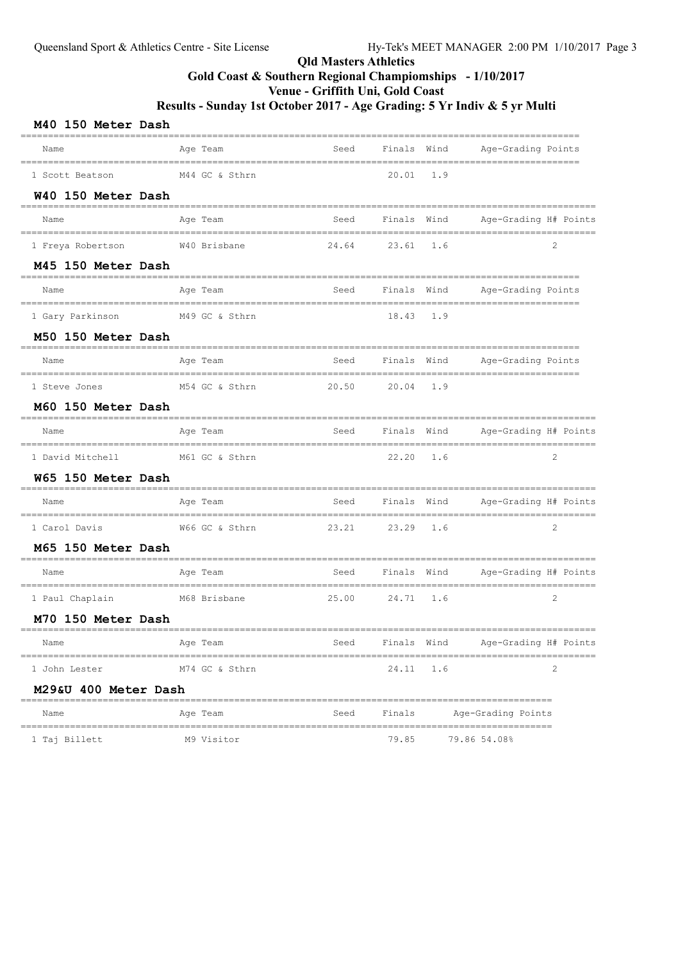# Qld Masters Athletics Gold Coast & Southern Regional Champiomships - 1/10/2017 Venue - Griffith Uni, Gold Coast

| M40 150 Meter Dash                                      |                    |                                           |               |      |                                                           |  |
|---------------------------------------------------------|--------------------|-------------------------------------------|---------------|------|-----------------------------------------------------------|--|
| Name                                                    | Age Team           | Seed                                      | Finals Wind   |      | Age-Grading Points                                        |  |
| ====================================<br>1 Scott Beatson | M44 GC & Sthrn     | -------------------------                 | $20.01$ 1.9   |      | ----------------------------                              |  |
| W40 150 Meter Dash                                      |                    |                                           |               |      |                                                           |  |
| Name                                                    | Age Team           | Seed                                      | Finals        | Wind | Age-Grading H# Points                                     |  |
| 1 Freya Robertson                                       | W40 Brisbane       | 24.64                                     | 23.61         | 1.6  | 2                                                         |  |
| M45 150 Meter Dash                                      |                    |                                           |               |      |                                                           |  |
| Name                                                    | Age Team           | Seed                                      | Finals Wind   |      | Age-Grading Points<br>---------------------------         |  |
| 1 Gary Parkinson                                        | M49 GC & Sthrn     |                                           | $18.43 \t1.9$ |      |                                                           |  |
| M50 150 Meter Dash                                      |                    |                                           |               |      |                                                           |  |
| Name                                                    | Age Team           | Seed                                      | Finals Wind   |      | Age-Grading Points<br>___________________________________ |  |
| 1 Steve Jones                                           | M54 GC & Sthrn     | 20.50                                     | $20.04$ 1.9   |      |                                                           |  |
| M60 150 Meter Dash                                      |                    |                                           |               |      |                                                           |  |
| Name                                                    | Age Team           | Seed                                      | Finals Wind   |      | Age-Grading H# Points                                     |  |
| 1 David Mitchell                                        | M61 GC & Sthrn     |                                           | $22.20 \t1.6$ |      | 2                                                         |  |
| W65 150 Meter Dash                                      | ------------------ | ======================                    |               |      |                                                           |  |
| Name                                                    | Age Team           | Seed                                      | Finals Wind   |      | Age-Grading H# Points                                     |  |
| 1 Carol Davis                                           | W66 GC & Sthrn     | 23.21                                     | $23.29$ 1.6   |      | 2                                                         |  |
| M65 150 Meter Dash                                      |                    |                                           |               |      |                                                           |  |
| Name<br>================================                | Age Team           | Seed<br>_________________________________ | Finals Wind   |      | Age-Grading H# Points                                     |  |
| 1 Paul Chaplain                                         | M68 Brisbane       | 25.00                                     | 24.71 1.6     |      | 2                                                         |  |
| M70 150 Meter Dash                                      |                    |                                           |               |      |                                                           |  |
| Name                                                    | Age Team           | Seed                                      | Finals Wind   |      | Age-Grading H# Points                                     |  |
| 1 John Lester                                           | M74 GC & Sthrn     |                                           | 24.11         | 1.6  | 2                                                         |  |
| M29&U 400 Meter Dash                                    |                    |                                           |               |      |                                                           |  |
| Name                                                    | Age Team           | Seed                                      | Finals        |      | Age-Grading Points                                        |  |
| 1 Taj Billett                                           | M9 Visitor         |                                           | 79.85         |      | 79.86 54.08%                                              |  |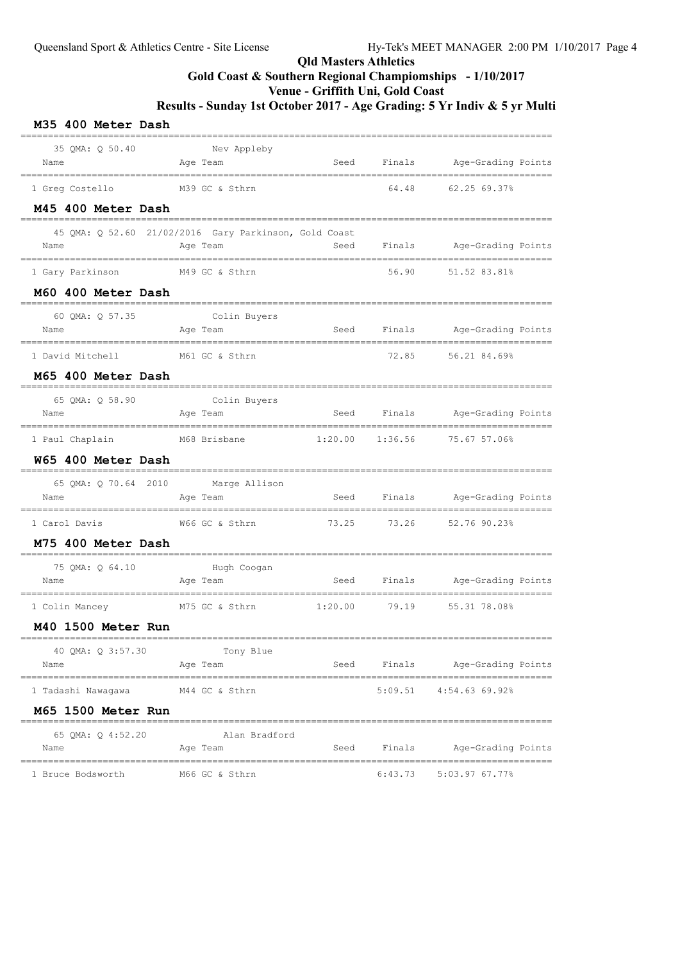### Qld Masters Athletics Gold Coast & Southern Regional Champiomships - 1/10/2017 Venue - Griffith Uni, Gold Coast Results - Sunday 1st October 2017 - Age Grading: 5 Yr Indiv & 5 yr Multi

| M35 400 Meter Dash                                    |                                        |                               |             |                                     |  |
|-------------------------------------------------------|----------------------------------------|-------------------------------|-------------|-------------------------------------|--|
| 35 OMA: 0 50.40<br>Name                               | Nev Appleby<br>Age Team                |                               |             | Seed Finals Age-Grading Points      |  |
| 1 Greg Costello<br>M45 400 Meter Dash                 | M39 GC & Sthrn                         |                               | 64.48       | 62.25 69.37%                        |  |
| 45 QMA: Q 52.60 21/02/2016 Gary Parkinson, Gold Coast |                                        |                               |             |                                     |  |
| Name                                                  | Age Team                               |                               |             | Seed Finals Age-Grading Points      |  |
| 1 Gary Parkinson                                      | M49 GC & Sthrn                         |                               | 56.90       | 51.52 83.81%                        |  |
| M60 400 Meter Dash                                    |                                        |                               |             |                                     |  |
| 60 QMA: Q 57.35<br>Name                               | ----------<br>Colin Buyers<br>Age Team |                               |             | Seed Finals Age-Grading Points      |  |
| 1 David Mitchell                                      | M61 GC & Sthrn                         |                               | 72.85       | 56.21 84.69%                        |  |
| M65 400 Meter Dash                                    |                                        |                               |             |                                     |  |
| 65 OMA: 0 58.90<br>Name                               | Colin Buyers<br>Age Team               |                               |             | Seed Finals Age-Grading Points      |  |
| 1 Paul Chaplain<br>W65 400 Meter Dash                 | M68 Brisbane                           | 1:20.00                       | 1:36.56     | 75.67 57.06%                        |  |
| 65 QMA: Q 70.64 2010 Marge Allison<br>Name            | Age Team                               |                               |             | Seed Finals Age-Grading Points      |  |
| 1 Carol Davis                                         | W66 GC & Sthrn                         | 73.25                         | 73.26       | 52.76 90.23%                        |  |
| M75 400 Meter Dash                                    |                                        |                               |             |                                     |  |
| 75 QMA: Q 64.10<br>Name                               | Hugh Coogan<br>Age Team                | Seed                          |             | Finals Age-Grading Points           |  |
| 1 Colin Mancey M75 GC & Sthrn                         | __________________________             | ==================<br>1:20.00 | 79.19       | ===================<br>55.31 78.08% |  |
| M40 1500 Meter Run                                    |                                        |                               |             |                                     |  |
| 40 QMA: Q 3:57.30<br>Name                             | Tony Blue<br>Age Team                  |                               |             | Seed Finals Age-Grading Points      |  |
| 1 Tadashi Nawagawa M44 GC & Sthrn                     |                                        |                               |             | $5:09.51$ $4:54.63$ 69.92%          |  |
| M65 1500 Meter Run                                    |                                        |                               |             |                                     |  |
| 65 QMA: Q 4:52.20<br>Name                             | Alan Bradford<br>Age Team              |                               | Seed Finals | Age-Grading Points                  |  |
| 1 Bruce Bodsworth                                     | M66 GC & Sthrn                         |                               |             | $6:43.73$ $5:03.97$ $67.77%$        |  |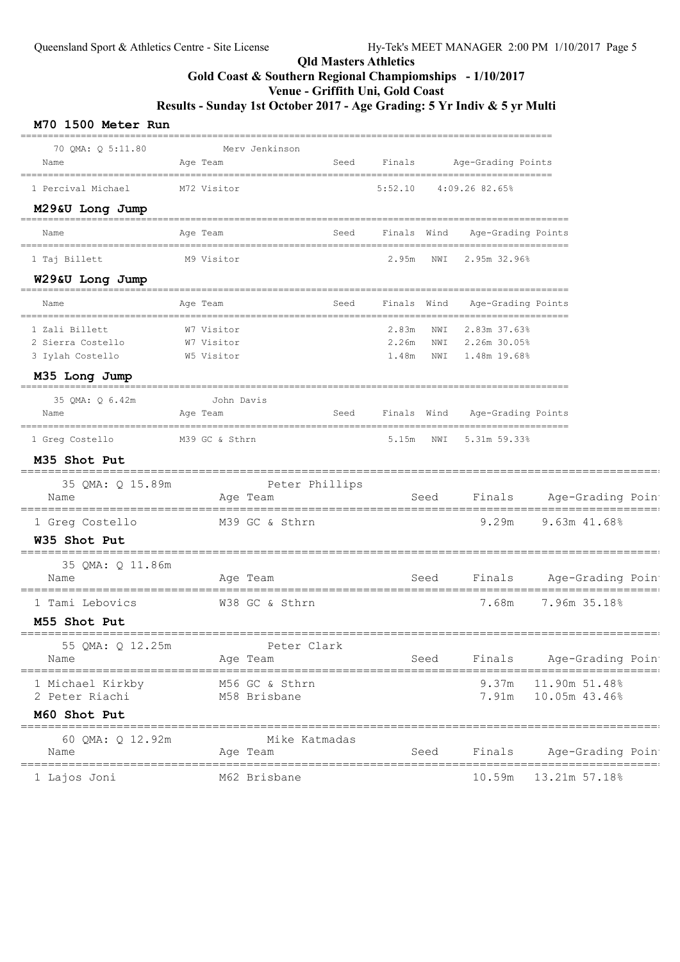#### Qld Masters Athletics Gold Coast & Southern Regional Champiomships - 1/10/2017 Venue - Griffith Uni, Gold Coast Results - Sunday 1st October 2017 - Age Grading: 5 Yr Indiv & 5 yr Multi

| 70 OMA: 0 5:11.80                                       |                                        | Merv Jenkinson                 |      |             |      |                                                                  |               |                  |  |
|---------------------------------------------------------|----------------------------------------|--------------------------------|------|-------------|------|------------------------------------------------------------------|---------------|------------------|--|
| Name                                                    | Age Team                               |                                | Seed | Finals      |      | Age-Grading Points                                               |               |                  |  |
| 1 Percival Michael                                      | M72 Visitor                            |                                |      | 5:52.10     |      | 4:09.26 82.65%                                                   |               |                  |  |
| M29&U Long Jump                                         |                                        |                                |      |             |      |                                                                  |               |                  |  |
| Name                                                    | Age Team                               |                                | Seed | Finals Wind |      | Age-Grading Points                                               |               |                  |  |
| 1 Taj Billett                                           | M9 Visitor                             |                                |      | 2.95m NWI   |      | 2.95m 32.96%                                                     |               |                  |  |
| W29&U Long Jump                                         |                                        |                                |      |             |      |                                                                  |               |                  |  |
| Name                                                    | Age Team                               |                                | Seed | Finals Wind |      | Age-Grading Points<br>================================           |               |                  |  |
| 1 Zali Billett<br>2 Sierra Costello<br>3 Iylah Costello | W7 Visitor<br>W7 Visitor<br>W5 Visitor |                                |      | 2.83m NWI   |      | 2.83m 37.63%<br>2.26m NWI 2.26m 30.05%<br>1.48m NWI 1.48m 19.68% |               |                  |  |
| M35 Long Jump                                           | ______________________________         |                                |      |             |      |                                                                  |               |                  |  |
| 35 OMA: 0 6.42m<br>Name                                 | John Davis<br>Age Team                 |                                | Seed | Finals Wind |      | Age-Grading Points                                               |               |                  |  |
| 1 Greg Costello M39 GC & Sthrn                          |                                        |                                |      | 5.15m NWI   |      | 5.31m 59.33%                                                     |               |                  |  |
| M35 Shot Put                                            |                                        |                                |      |             |      |                                                                  |               |                  |  |
| 35 QMA: Q 15.89m<br>Name                                |                                        | Peter Phillips<br>Age Team     |      |             | Seed | Finals Age-Grading Poin                                          |               |                  |  |
| 1 Greg Costello<br><b>W35 Shot Put</b>                  |                                        | M39 GC & Sthrn                 |      |             |      | 9.29m                                                            | 9.63m 41.68%  |                  |  |
| 35 QMA: Q 11.86m<br>Name                                | ---------------------------            | Age Team                       |      |             | Seed | ==========================<br>Finals Age-Grading Poin            |               |                  |  |
| 1 Tami Lebovics<br>M55 Shot Put                         |                                        | W38 GC & Sthrn                 |      |             |      | 7.68m                                                            |               | 7.96m 35.18%     |  |
| 55 QMA: Q 12.25m<br>Name                                |                                        | Peter Clark<br>Age Team        |      |             | Seed | Finals                                                           |               | Age-Grading Poin |  |
| 1 Michael Kirkby<br>2 Peter Riachi                      |                                        | M56 GC & Sthrn<br>M58 Brisbane |      |             |      | 9.37m 11.90m 51.48%<br>7.91m  10.05m  43.46%                     |               |                  |  |
| M60 Shot Put                                            |                                        |                                |      |             |      |                                                                  |               |                  |  |
| 60 OMA: 0 12.92m<br>Name                                |                                        | Mike Katmadas<br>Age Team      |      |             | Seed | Finals                                                           |               | Age-Grading Poin |  |
| 1 Lajos Joni                                            |                                        | M62 Brisbane                   |      |             |      | 10.59m                                                           | 13.21m 57.18% |                  |  |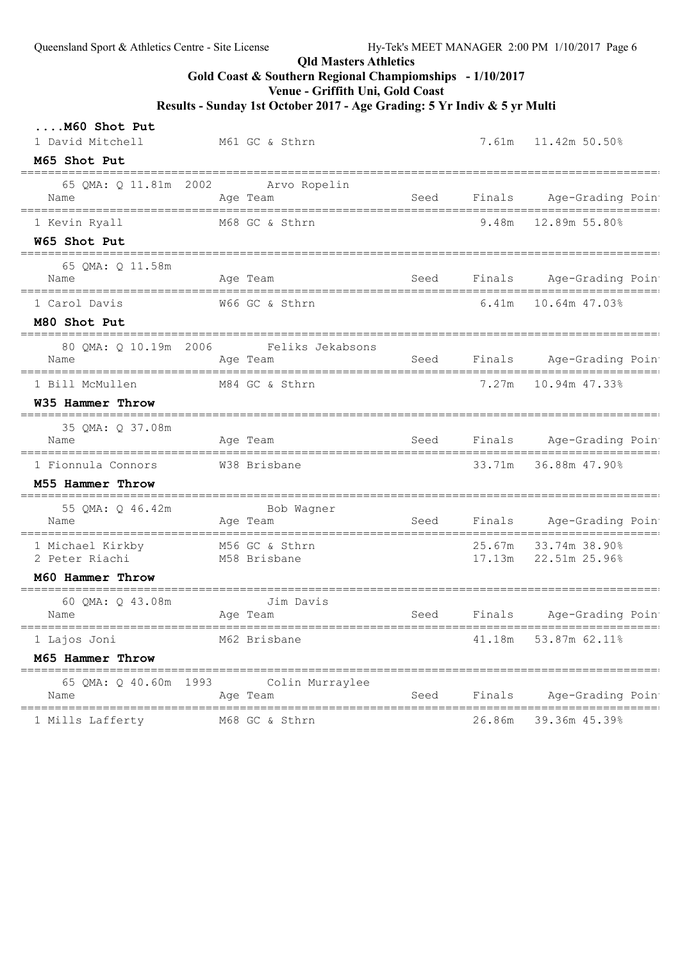# Qld Masters Athletics

Gold Coast & Southern Regional Champiomships - 1/10/2017

Venue - Griffith Uni, Gold Coast

| M60 Shot Put<br>1 David Mitchell                  | M61 GC & Sthrn                      |                                    | 7.61m  11.42m  50.50%                   |
|---------------------------------------------------|-------------------------------------|------------------------------------|-----------------------------------------|
| M65 Shot Put                                      |                                     |                                    |                                         |
| 65 QMA: Q 11.81m 2002<br>Name                     | Arvo Ropelin<br>Aqe Team            |                                    | Seed Finals Age-Grading Poin            |
| 1 Kevin Ryall                                     | M68 GC & Sthrn                      |                                    | $9.48m$ 12.89m 55.80%                   |
| W65 Shot Put                                      |                                     |                                    |                                         |
| 65 QMA: Q 11.58m<br>Name                          | Age Team                            |                                    | Seed Finals Age-Grading Poin            |
| 1 Carol Davis                                     | W66 GC & Sthrn                      |                                    | $6.41m$ 10.64m $47.03\%$                |
| M80 Shot Put                                      |                                     |                                    |                                         |
| 80 OMA: 0 10.19m 2006<br>Name                     | Feliks Jekabsons<br>Age Team        |                                    | Seed Finals Age-Grading Poin            |
| 1 Bill McMullen                                   | M84 GC & Sthrn                      |                                    | 7.27m 10.94m 47.33%                     |
| W35 Hammer Throw                                  |                                     |                                    |                                         |
| 35 OMA: 0 37.08m<br>Name                          | Age Team                            |                                    | Seed Finals Age-Grading Poin            |
| 1 Fionnula Connors                                | W38 Brisbane                        |                                    | 33.71m 36.88m 47.90%                    |
| M55 Hammer Throw                                  |                                     |                                    |                                         |
| 55 QMA: Q 46.42m<br>Name                          | Bob Wagner<br>Aqe Team              |                                    | Seed Finals Age-Grading Poin            |
| 1 Michael Kirkby M56 GC & Sthrn<br>2 Peter Riachi | M58 Brisbane                        |                                    | 25.67m 33.74m 38.90%                    |
| M60 Hammer Throw                                  |                                     |                                    |                                         |
| 60 QMA: Q 43.08m<br>Name                          | Jim Davis<br>Age Team               |                                    | Seed Finals Age-Grading Poin            |
| 1 Lajos Joni                                      | M62 Brisbane                        |                                    | 53.87m 62.11%<br>41.18m                 |
| M65 Hammer Throw                                  |                                     |                                    |                                         |
| ========<br>65 QMA: Q 40.60m<br>Name              | 1993<br>Colin Murraylee<br>Age Team | Seed                               | Finals<br>Age-Grading Poin              |
| 1 Mills Lafferty                                  | M68 GC & Sthrn                      | ================================== | ____________<br>39.36m 45.39%<br>26.86m |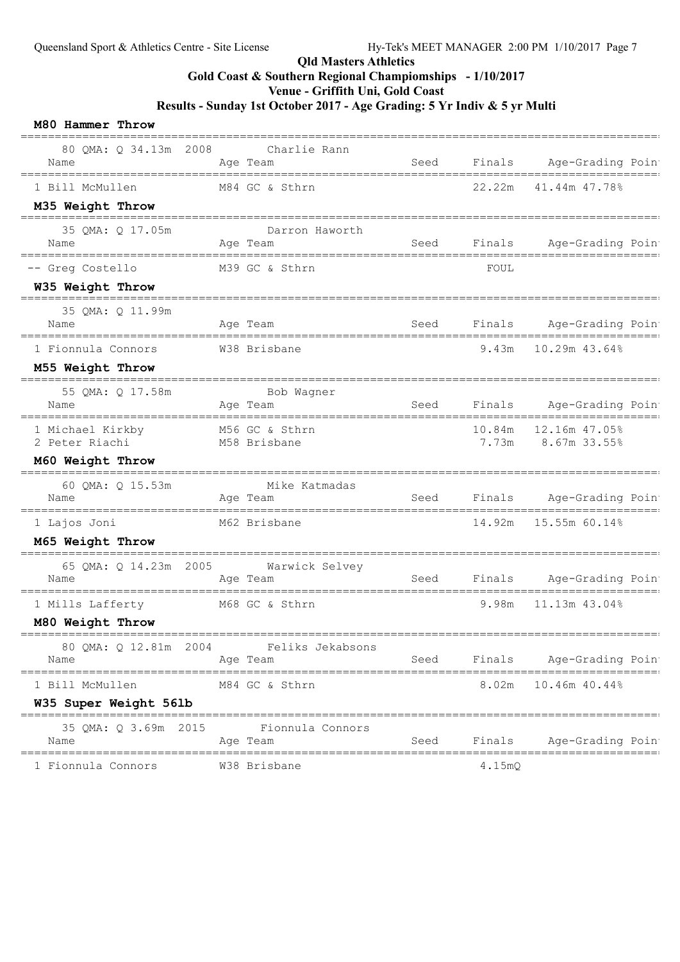#### Qld Masters Athletics

# Gold Coast & Southern Regional Champiomships - 1/10/2017

Venue - Griffith Uni, Gold Coast

| 80 QMA: Q 34.13m 2008 Charlie Rann<br>Name                                           | Age Team                                             | Seed              | Finals | Age-Grading Poin<br>========================== |
|--------------------------------------------------------------------------------------|------------------------------------------------------|-------------------|--------|------------------------------------------------|
| 1 Bill McMullen                                                                      | M84 GC & Sthrn                                       |                   | 22.22m | 41.44m 47.78%                                  |
| M35 Weight Throw<br>----------------                                                 |                                                      |                   |        |                                                |
| 35 QMA: Q 17.05m<br>Name                                                             | Darron Haworth<br>Age Team                           | Seed              |        | Finals Age-Grading Poin                        |
| -- Greg Costello                                                                     | M39 GC & Sthrn                                       |                   | FOUL   |                                                |
| W35 Weight Throw                                                                     |                                                      |                   |        |                                                |
| 35 QMA: Q 11.99m<br>Name                                                             | Age Team                                             | Seed              |        | Finals Age-Grading Poin                        |
| 1 Fionnula Connors                                                                   | W38 Brisbane                                         |                   |        | 9.43m 10.29m 43.64%                            |
| M55 Weight Throw                                                                     |                                                      |                   |        |                                                |
| ;============================<br>55 QMA: Q 17.58m Bob Wagner<br>nme Age Team<br>Name |                                                      | Seed              |        | Finals Age-Grading Poin                        |
| 1 Michael Kirkby M56 GC & Sthrn<br>2 Peter Riachi                                    | M58 Brisbane                                         |                   | 10.84m | 12.16m 47.05%<br>7.73m 8.67m 33.55%            |
| M60 Weight Throw                                                                     |                                                      |                   |        |                                                |
| 60 QMA: Q 15.53m<br>Name                                                             | Mike Katmadas<br>Age Team                            |                   |        | Seed Finals Age-Grading Poin                   |
| 1 Lajos Joni                                                                         | M62 Brisbane                                         |                   | 14.92m | 15.55m 60.14%                                  |
| M65 Weight Throw                                                                     |                                                      |                   |        |                                                |
| Name                                                                                 | 65 QMA: Q 14.23m 2005 Warwick Selvey<br>Aqe Team     |                   |        | Seed Finals Age-Grading Poin                   |
| 1 Mills Lafferty                                                                     | M68 GC & Sthrn                                       |                   | 9.98m  | 11.13m 43.04%                                  |
| M80 Weight Throw                                                                     |                                                      |                   |        |                                                |
| 80 QMA: Q 12.81m 2004<br>Name                                                        | Feliks Jekabsons<br>Age Team                         | Seed              | Finals | Age-Grading Poin                               |
| --------------<br>1 Bill McMullen                                                    | __________________________________<br>M84 GC & Sthrn |                   | 8.02m  | 10.46m 40.44%                                  |
| W35 Super Weight 56lb                                                                |                                                      |                   |        |                                                |
| 35 QMA: Q 3.69m 2015<br>Name                                                         | Fionnula Connors<br>Age Team                         | Seed              | Finals | Age-Grading Poin                               |
| 1 Fionnula Connors                                                                   | W38 Brisbane                                         | ================= | 4.15mQ | =======<br>=============                       |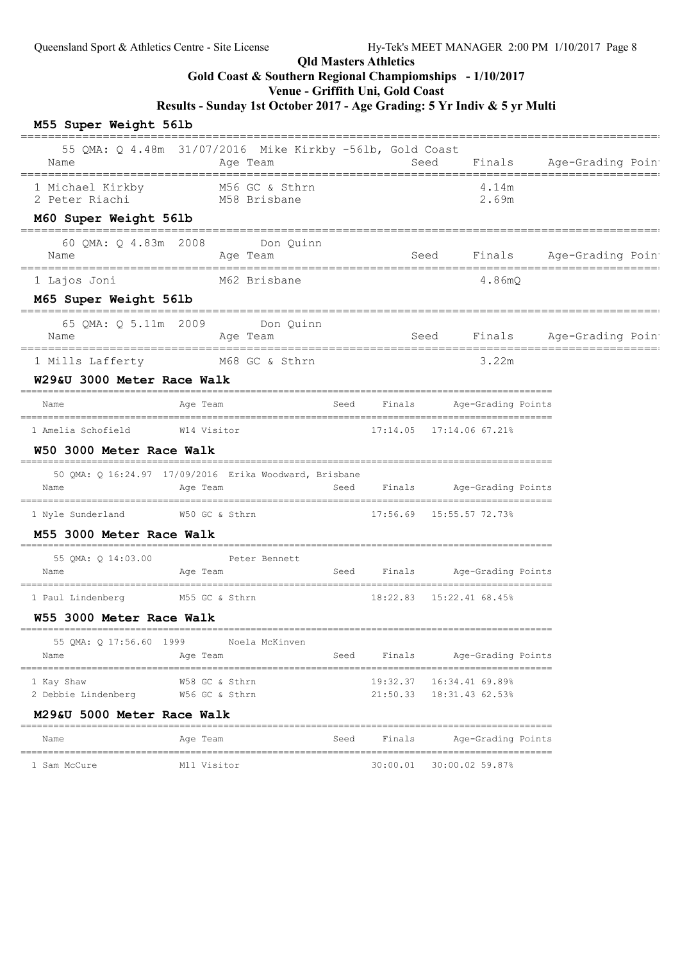#### Qld Masters Athletics

# Gold Coast & Southern Regional Champiomships - 1/10/2017

Venue - Griffith Uni, Gold Coast

Results - Sunday 1st October 2017 - Age Grading: 5 Yr Indiv & 5 yr Multi

### M55 Super Weight 56lb

|                                          | ==============================                                                                        |      |          |                                                                            |                                                      |
|------------------------------------------|-------------------------------------------------------------------------------------------------------|------|----------|----------------------------------------------------------------------------|------------------------------------------------------|
| Name                                     | 55 QMA: Q 4.48m 31/07/2016 Mike Kirkby -561b, Gold Coast<br>Age Team                                  |      |          | Seed                                                                       | Finals Age-Grading Poin<br>========================= |
|                                          |                                                                                                       |      |          | 4.14m<br>2.69m                                                             |                                                      |
| M60 Super Weight 56lb                    |                                                                                                       |      |          |                                                                            |                                                      |
| Name                                     | 60 QMA: Q 4.83m 2008 Don Quinn<br>Age Team                                                            |      |          | Seed                                                                       | Finals Age-Grading Poin                              |
| 1 Lajos Joni                             | M62 Brisbane                                                                                          |      |          | 4.86mO                                                                     |                                                      |
| M65 Super Weight 56lb                    |                                                                                                       |      |          |                                                                            |                                                      |
| Name                                     | 65 QMA: Q 5.11m 2009 Don Quinn<br>Age Team                                                            |      |          |                                                                            | Seed Finals Age-Grading Poin                         |
|                                          | 1 Mills Lafferty M68 GC & Sthrn                                                                       |      |          | 3.22m                                                                      |                                                      |
| W29&U 3000 Meter Race Walk               |                                                                                                       |      |          |                                                                            |                                                      |
| Name                                     | Age Team                                                                                              |      |          | Seed Finals Age-Grading Points                                             |                                                      |
| 1 Amelia Schofield M14 Visitor           |                                                                                                       |      |          | 17:14.05  17:14.06  67.21%                                                 |                                                      |
| W50 3000 Meter Race Walk                 |                                                                                                       |      |          |                                                                            |                                                      |
| Name                                     | 50 QMA: Q 16:24.97 17/09/2016 Erika Woodward, Brisbane<br>Age Team and Seed Finals Age-Grading Points |      |          |                                                                            |                                                      |
|                                          | 1 Nyle Sunderland M50 GC & Sthrn 17:56.69 15:55.57 72.73%                                             |      |          |                                                                            |                                                      |
| M55 3000 Meter Race Walk                 |                                                                                                       |      |          |                                                                            |                                                      |
| 55 QMA: Q 14:03.00 Peter Bennett<br>Name | Age Team and Seed Finals Age-Grading Points                                                           |      |          |                                                                            |                                                      |
|                                          | 1 Paul Lindenberg M55 GC & Sthrn 18:22.83 15:22.41 68.45%                                             |      |          |                                                                            |                                                      |
| W55 3000 Meter Race Walk                 |                                                                                                       |      |          |                                                                            |                                                      |
| Name                                     | 55 QMA: Q 17:56.60 1999 Noela McKinven<br>Age Team                                                    | Seed | Finals   | Age-Grading Points                                                         |                                                      |
| 1 Kay Shaw<br>2 Debbie Lindenberg        | W58 GC & Sthrn<br>W56 GC & Sthrn                                                                      |      | 19:32.37 | ===========================<br>16:34.41 69.89%<br>21:50.33 18:31.43 62.53% |                                                      |
| M29&U 5000 Meter Race Walk               |                                                                                                       |      |          |                                                                            |                                                      |
| Name                                     | Age Team                                                                                              | Seed | Finals   | Age-Grading Points                                                         |                                                      |
| 1 Sam McCure                             | M11 Visitor                                                                                           |      | 30:00.01 | 30:00.02 59.87%                                                            |                                                      |